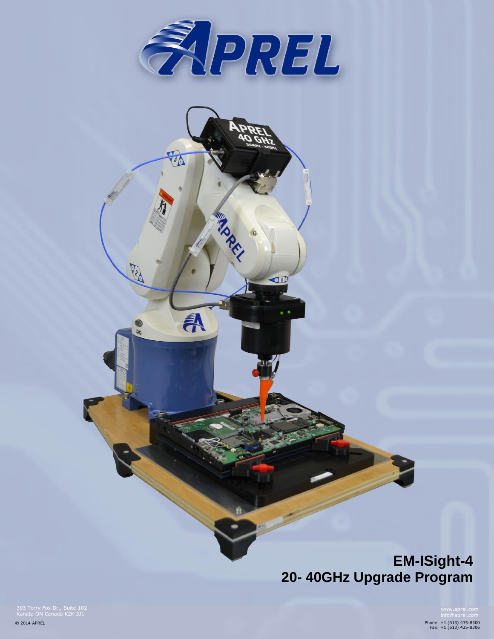

**MARK** 

 $\bigoplus$  6  $\bigoplus$ 

UA

利

E

# **EM-ISight-4 20- 40GHz Upgrade Program**

Phone: +1 (613) 435-8300 Fax: +1 (613) 435-8306

303 Terry Fox Dr., Suite 102 Kanata ON Canada K2K 3J1

© 2014 APREL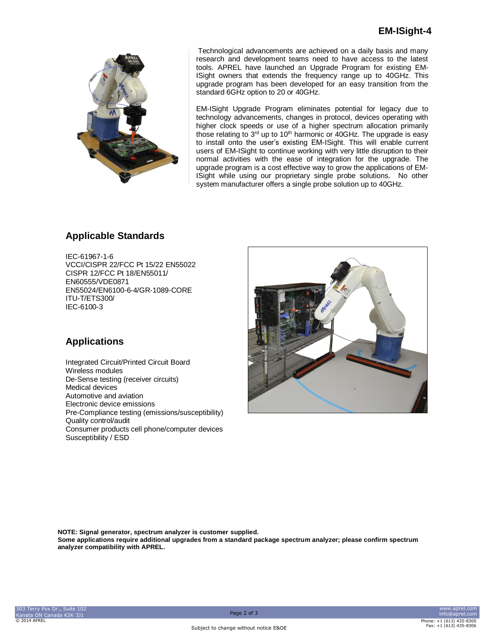

Technological advancements are achieved on a daily basis and many research and development teams need to have access to the latest tools. APREL have launched an Upgrade Program for existing EM-ISight owners that extends the frequency range up to 40GHz. This upgrade program has been developed for an easy transition from the standard 6GHz option to 20 or 40GHz.

EM-ISight Upgrade Program eliminates potential for legacy due to technology advancements, changes in protocol, devices operating with higher clock speeds or use of a higher spectrum allocation primarily those relating to  $3<sup>rd</sup>$  up to  $10<sup>th</sup>$  harmonic or 40GHz. The upgrade is easy to install onto the user's existing EM-ISight. This will enable current users of EM-ISight to continue working with very little disruption to their normal activities with the ease of integration for the upgrade. The upgrade program is a cost effective way to grow the applications of EM-ISight while using our proprietary single probe solutions. No other system manufacturer offers a single probe solution up to 40GHz.

## **Applicable Standards**

IEC-61967-1-6 VCCI/CISPR 22/FCC Pt 15/22 EN55022 CISPR 12/FCC Pt 18/EN55011/ EN60555/VDE0871 EN55024/EN6100-6-4/GR-1089-CORE ITU-T/ETS300/ IEC-6100-3

## **Applications**

Integrated Circuit/Printed Circuit Board Wireless modules De-Sense testing (receiver circuits) Medical devices Automotive and aviation Electronic device emissions Pre-Compliance testing (emissions/susceptibility) Quality control/audit Consumer products cell phone/computer devices Susceptibility / ESD



**NOTE: Signal generator, spectrum analyzer is customer supplied. Some applications require additional upgrades from a standard package spectrum analyzer; please confirm spectrum analyzer compatibility with APREL.**

www.aprel.com info@aprel.com